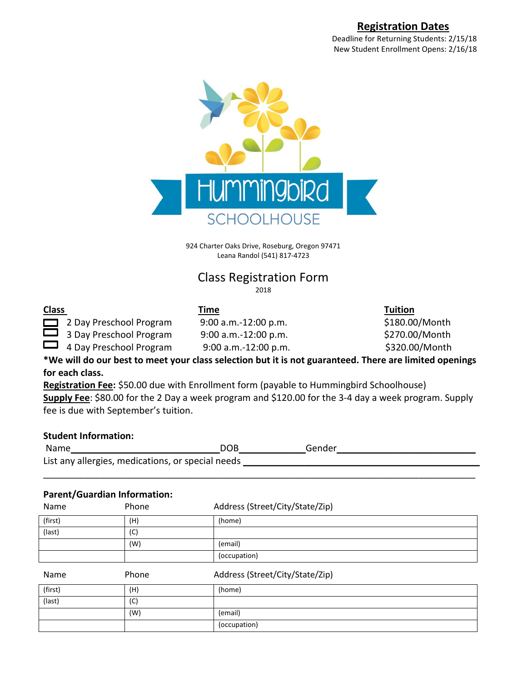## **Registration Dates**

Deadline for Returning Students: 2/15/18 New Student Enrollment Opens: 2/16/18



924 Charter Oaks Drive, Roseburg, Oregon 97471 Leana Randol (541) 817-4723

## Class Registration Form 2018

**Class Time Tuition**

2 Day Preschool Program  $9:00$  a.m.-12:00 p.m.  $$180.00/M$ onth  $\Box$  3 Day Preschool Program 9:00 a.m.-12:00 p.m.  $$270.00/M$ onth

 $\Box$  4 Day Preschool Program 9:00 a.m.-12:00 p.m.  $$320.00/M$ onth

**\*We will do our best to meet your class selection but it is not guaranteed. There are limited openings for each class.** 

**Registration Fee:** \$50.00 due with Enrollment form (payable to Hummingbird Schoolhouse) **Supply Fee**: \$80.00 for the 2 Day a week program and \$120.00 for the 3-4 day a week program. Supply fee is due with September's tuition.

## **Student Information:**

Name and the settlement of the DOB and Gender  $\Box$  Gender List any allergies, medications, or special needs \_\_\_\_\_\_ \_\_\_\_\_\_\_\_\_\_\_\_\_\_\_\_\_\_\_\_\_\_\_\_\_\_\_\_\_\_\_\_\_\_\_\_\_\_\_\_\_\_\_\_\_\_\_\_\_\_\_\_\_\_\_\_\_\_\_\_\_\_\_\_\_\_\_\_\_\_\_\_\_\_\_\_\_\_\_\_\_\_\_\_

## **Parent/Guardian Information:**

| Name    | Phone | Address (Street/City/State/Zip) |
|---------|-------|---------------------------------|
| (first) | (H)   | (home)                          |
| (last)  | (C)   |                                 |
|         | (W)   | (email)                         |
|         |       | (occupation)                    |
|         |       |                                 |
| Name    | Phone | Address (Street/City/State/Zip) |
| (first) | (H)   | (home)                          |
| (last)  | (C)   |                                 |
|         | (W)   | (email)                         |